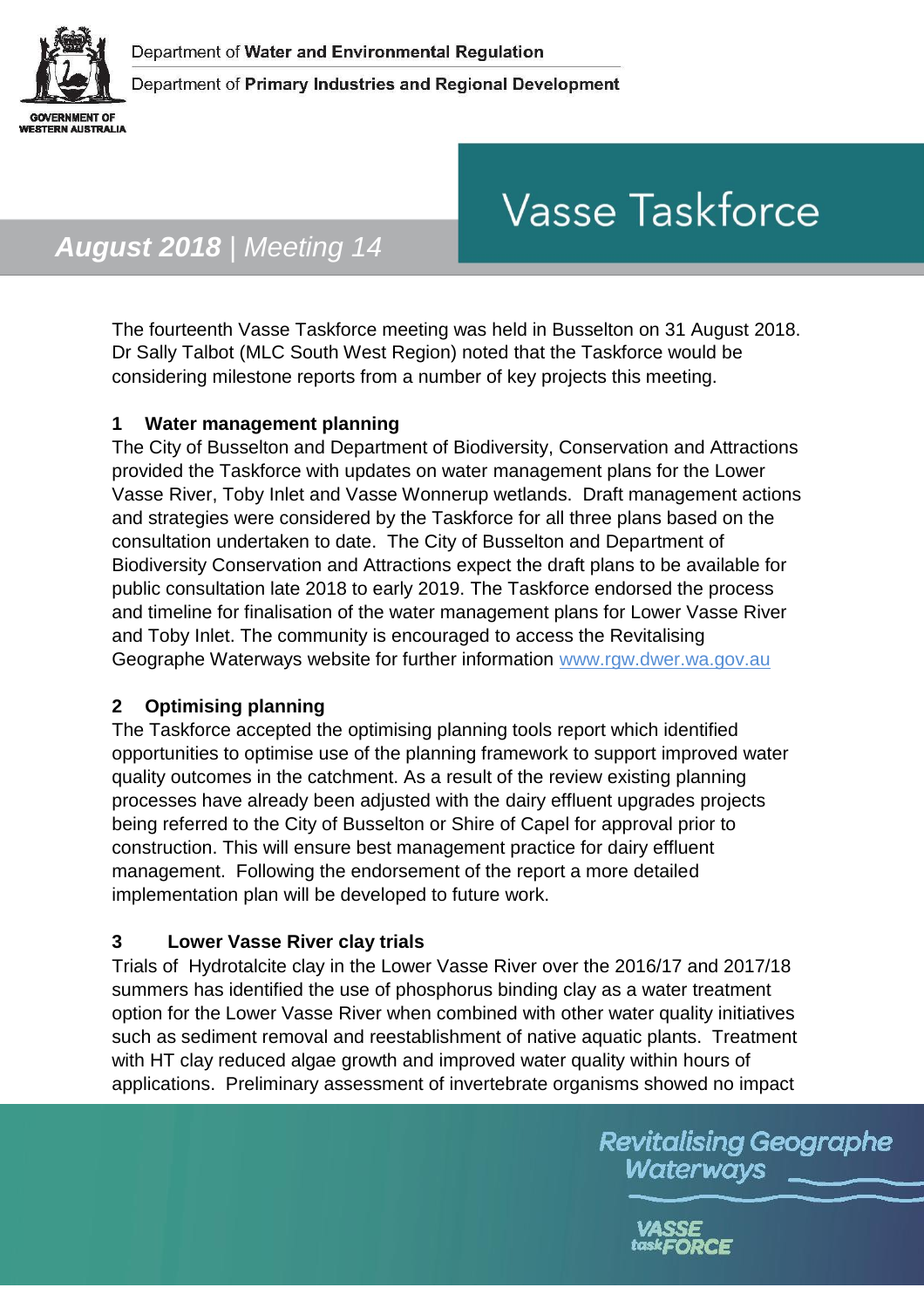

# **Vasse Taskforce**

# *August 2018 | Meeting 14*

The fourteenth Vasse Taskforce meeting was held in Busselton on 31 August 2018. Dr Sally Talbot (MLC South West Region) noted that the Taskforce would be considering milestone reports from a number of key projects this meeting.

## **1 Water management planning**

The City of Busselton and Department of Biodiversity, Conservation and Attractions provided the Taskforce with updates on water management plans for the Lower Vasse River, Toby Inlet and Vasse Wonnerup wetlands. Draft management actions and strategies were considered by the Taskforce for all three plans based on the consultation undertaken to date. The City of Busselton and Department of Biodiversity Conservation and Attractions expect the draft plans to be available for public consultation late 2018 to early 2019. The Taskforce endorsed the process and timeline for finalisation of the water management plans for Lower Vasse River and Toby Inlet. The community is encouraged to access the Revitalising Geographe Waterways website for further information [www.rgw.dwer.wa.gov.au](http://www.rgw.dwer.wa.gov.au/)

#### **2 Optimising planning**

The Taskforce accepted the optimising planning tools report which identified opportunities to optimise use of the planning framework to support improved water quality outcomes in the catchment. As a result of the review existing planning processes have already been adjusted with the dairy effluent upgrades projects being referred to the City of Busselton or Shire of Capel for approval prior to construction. This will ensure best management practice for dairy effluent management. Following the endorsement of the report a more detailed implementation plan will be developed to future work.

#### **3 Lower Vasse River clay trials**

Trials of Hydrotalcite clay in the Lower Vasse River over the 2016/17 and 2017/18 summers has identified the use of phosphorus binding clay as a water treatment option for the Lower Vasse River when combined with other water quality initiatives such as sediment removal and reestablishment of native aquatic plants. Treatment with HT clay reduced algae growth and improved water quality within hours of applications. Preliminary assessment of invertebrate organisms showed no impact

> **Revitalising Geographe** Waterways

> > task**FORCE**